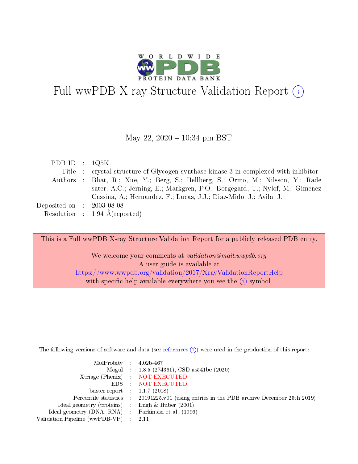

# Full wwPDB X-ray Structure Validation Report  $(i)$

#### May 22,  $2020 - 10:34$  pm BST

| PDB ID : $1Q5K$                |                                                                                     |
|--------------------------------|-------------------------------------------------------------------------------------|
|                                | Title : crystal structure of Glycogen synthase kinase 3 in complexed with inhibitor |
|                                | Authors : Bhat, R.; Xue, Y.; Berg, S.; Hellberg, S.; Ormo, M.; Nilsson, Y.; Rade-   |
|                                | sater, A.C.; Jerning, E.; Markgren, P.O.; Borgegard, T.; Nylof, M.; Gimenez-        |
|                                | Cassina, A.; Hernandez, F.; Lucas, J.J.; Diaz-Mido, J.; Avila, J.                   |
| Deposited on $\;$ : 2003-08-08 |                                                                                     |
|                                | Resolution : $1.94 \text{ Å}$ (reported)                                            |
|                                |                                                                                     |

This is a Full wwPDB X-ray Structure Validation Report for a publicly released PDB entry.

We welcome your comments at validation@mail.wwpdb.org A user guide is available at <https://www.wwpdb.org/validation/2017/XrayValidationReportHelp> with specific help available everywhere you see the  $(i)$  symbol.

The following versions of software and data (see [references](https://www.wwpdb.org/validation/2017/XrayValidationReportHelp#references)  $(i)$ ) were used in the production of this report:

| MolProbity : $4.02b-467$                            |                                                                                            |
|-----------------------------------------------------|--------------------------------------------------------------------------------------------|
|                                                     | Mogul : 1.8.5 (274361), CSD as541be (2020)                                                 |
|                                                     | Xtriage (Phenix) NOT EXECUTED                                                              |
|                                                     | EDS : NOT EXECUTED                                                                         |
| buster-report : $1.1.7$ (2018)                      |                                                                                            |
|                                                     | Percentile statistics : 20191225.v01 (using entries in the PDB archive December 25th 2019) |
| Ideal geometry (proteins) :                         | Engh & Huber $(2001)$                                                                      |
| Ideal geometry (DNA, RNA) : Parkinson et al. (1996) |                                                                                            |
| Validation Pipeline (wwPDB-VP)                      | -2.11                                                                                      |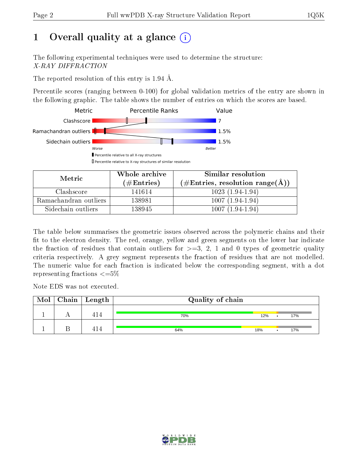# 1 [O](https://www.wwpdb.org/validation/2017/XrayValidationReportHelp#overall_quality)verall quality at a glance  $(i)$

The following experimental techniques were used to determine the structure: X-RAY DIFFRACTION

The reported resolution of this entry is 1.94 Å.

Percentile scores (ranging between 0-100) for global validation metrics of the entry are shown in the following graphic. The table shows the number of entries on which the scores are based.



| Metric                | Whole archive<br>(# $\rm{Entries}$ ) | Similar resolution<br>$(\#\text{Entries}, \text{resolution range}(\text{\AA})$ |  |  |
|-----------------------|--------------------------------------|--------------------------------------------------------------------------------|--|--|
| Clashscore            | 141614                               | $1023(1.94-1.94)$                                                              |  |  |
| Ramachandran outliers | 138981                               | $1007(1.94-1.94)$                                                              |  |  |
| Sidechain outliers    | 138945                               | $1007(1.94-1.94)$                                                              |  |  |

The table below summarises the geometric issues observed across the polymeric chains and their fit to the electron density. The red, orange, yellow and green segments on the lower bar indicate the fraction of residues that contain outliers for  $\geq=3$ , 2, 1 and 0 types of geometric quality criteria respectively. A grey segment represents the fraction of residues that are not modelled. The numeric value for each fraction is indicated below the corresponding segment, with a dot representing fractions  $\leq=5\%$ 

Note EDS was not executed.

| Mol | $\mid$ Chain $\mid$ Length $\mid$ | Quality of chain |     |     |
|-----|-----------------------------------|------------------|-----|-----|
|     |                                   | 70%              | 12% | 17% |
|     |                                   | 64%              | 18% | 17% |

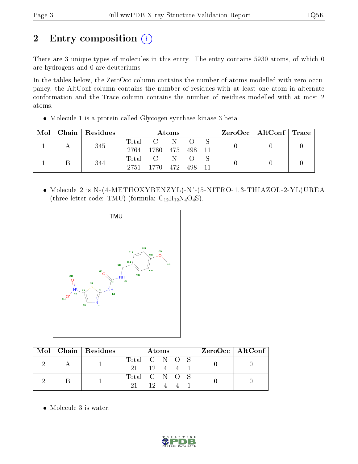# 2 Entry composition (i)

There are 3 unique types of molecules in this entry. The entry contains 5930 atoms, of which 0 are hydrogens and 0 are deuteriums.

In the tables below, the ZeroOcc column contains the number of atoms modelled with zero occupancy, the AltConf column contains the number of residues with at least one atom in alternate conformation and the Trace column contains the number of residues modelled with at most 2 atoms.

Molecule 1 is a protein called Glycogen synthase kinase-3 beta.

| Mol | Chain Residues | Atoms         |                              |  |  | $\rm ZeroOcc \mid AltConf \mid Trace$ |  |  |
|-----|----------------|---------------|------------------------------|--|--|---------------------------------------|--|--|
|     | 345            | Total<br>2764 | $C = N$<br>1780 475 498 11   |  |  |                                       |  |  |
|     | 344            | 2751          | Total C N<br>1770 472 498 11 |  |  |                                       |  |  |

 Molecule 2 is N-(4-METHOXYBENZYL)-N'-(5-NITRO-1,3-THIAZOL-2-YL)UREA (three-letter code: TMU) (formula:  $C_{12}H_{12}N_4O_4S$ ).



|  | $\text{Mol}$   Chain   Residues | Atoms                     |              |  | $ZeroOcc \mid AltConf \mid$ |  |  |
|--|---------------------------------|---------------------------|--------------|--|-----------------------------|--|--|
|  |                                 | Total C N O S             |              |  |                             |  |  |
|  |                                 | $21 \t 12 \t 4 \t 4 \t 1$ |              |  |                             |  |  |
|  |                                 | Total C N O S             |              |  |                             |  |  |
|  |                                 | -21-                      | $12 \quad 4$ |  |                             |  |  |

• Molecule 3 is water.

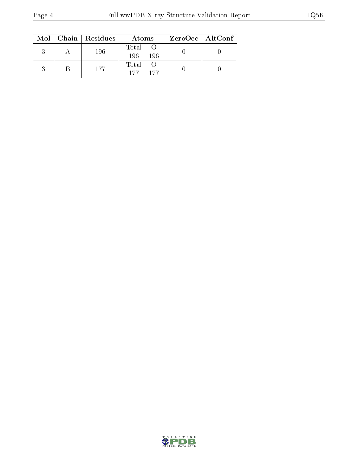|  | $Mol$   Chain   Residues | Atoms               | $ZeroOcc \mid AltConf$ |
|--|--------------------------|---------------------|------------------------|
|  | 196                      | Total<br>196<br>196 |                        |
|  | 177                      | Total<br>177<br>177 |                        |

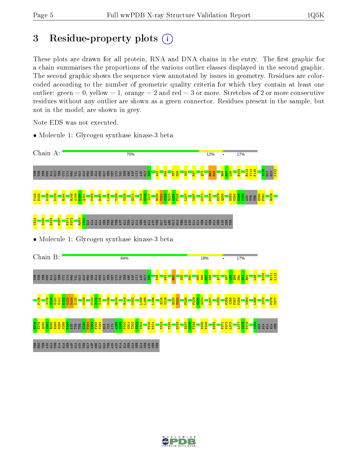## 3 Residue-property plots  $(i)$

These plots are drawn for all protein, RNA and DNA chains in the entry. The first graphic for a chain summarises the proportions of the various outlier classes displayed in the second graphic. The second graphic shows the sequence view annotated by issues in geometry. Residues are colorcoded according to the number of geometric quality criteria for which they contain at least one outlier: green  $= 0$ , yellow  $= 1$ , orange  $= 2$  and red  $= 3$  or more. Stretches of 2 or more consecutive residues without any outlier are shown as a green connector. Residues present in the sample, but not in the model, are shown in grey.

Note EDS was not executed.

• Molecule 1: Glycogen synthase kinase-3 beta



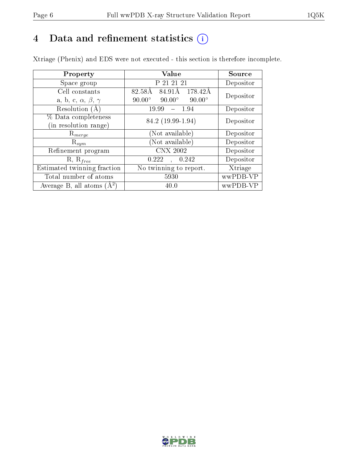# 4 Data and refinement statistics  $(i)$

Xtriage (Phenix) and EDS were not executed - this section is therefore incomplete.

| Property                               | Value                                           | <b>Source</b> |  |
|----------------------------------------|-------------------------------------------------|---------------|--|
| Space group                            | P 21 21 21                                      | Depositor     |  |
| Cell constants                         | 82.58Å<br>84.91Å<br>- 178.42Å                   | Depositor     |  |
| a, b, c, $\alpha$ , $\beta$ , $\gamma$ | $90.00^\circ$<br>$90.00^\circ$<br>$90.00^\circ$ |               |  |
| Resolution (A)                         | 19.99<br>$-1.94$                                | Depositor     |  |
| % Data completeness                    | 84.2 (19.99-1.94)                               | Depositor     |  |
| (in resolution range)                  |                                                 |               |  |
| $R_{merge}$                            | Not available)                                  | Depositor     |  |
| $\mathrm{R}_{sym}$                     | Not available)                                  | Depositor     |  |
| Refinement program                     | <b>CNX 2002</b>                                 | Depositor     |  |
| $R, R_{free}$                          | 0.222<br>0.242                                  | Depositor     |  |
| Estimated twinning fraction            | No twinning to report.                          | Xtriage       |  |
| Total number of atoms                  | 5930                                            | wwPDB-VP      |  |
| Average B, all atoms $(A^2)$           | 40.0                                            | wwPDB-VP      |  |

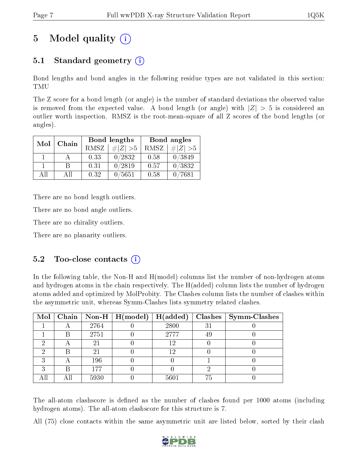# 5 Model quality  $(i)$

## 5.1 Standard geometry (i)

Bond lengths and bond angles in the following residue types are not validated in this section: TMU

The Z score for a bond length (or angle) is the number of standard deviations the observed value is removed from the expected value. A bond length (or angle) with  $|Z| > 5$  is considered an outlier worth inspection. RMSZ is the root-mean-square of all Z scores of the bond lengths (or angles).

| Mol | Chain |      | Bond lengths    | Bond angles |             |  |
|-----|-------|------|-----------------|-------------|-------------|--|
|     |       | RMSZ | $\# Z  > 5$     | RMSZ        | $\# Z  > 5$ |  |
|     |       | 0.33 | 0/2832          | 0.58        | 0/3849      |  |
|     | R     | 0.31 | 0/2819          | 0.57        | 0/3832      |  |
| ΑĦ  | A 11  | 0.32 | $^{\prime}5651$ | 0.58        | 7681        |  |

There are no bond length outliers.

There are no bond angle outliers.

There are no chirality outliers.

There are no planarity outliers.

### $5.2$  Too-close contacts  $(i)$

In the following table, the Non-H and H(model) columns list the number of non-hydrogen atoms and hydrogen atoms in the chain respectively. The H(added) column lists the number of hydrogen atoms added and optimized by MolProbity. The Clashes column lists the number of clashes within the asymmetric unit, whereas Symm-Clashes lists symmetry related clashes.

|   |   |      | Mol   Chain   Non-H   H(model)   H(added) |      |    | $\text{Classes} \mid \text{Symm-Class}$ |
|---|---|------|-------------------------------------------|------|----|-----------------------------------------|
|   |   | 2764 |                                           | 2800 | 31 |                                         |
|   | B | 2751 |                                           | 2777 | 49 |                                         |
| ച |   | 21   |                                           | 12   |    |                                         |
|   | В | 21   |                                           | 12   |    |                                         |
| 9 |   | 196  |                                           |      |    |                                         |
| ച | В | 177  |                                           |      |    |                                         |
|   |   | 5930 |                                           | 5601 | 75 |                                         |

The all-atom clashscore is defined as the number of clashes found per 1000 atoms (including hydrogen atoms). The all-atom clashscore for this structure is 7.

All (75) close contacts within the same asymmetric unit are listed below, sorted by their clash

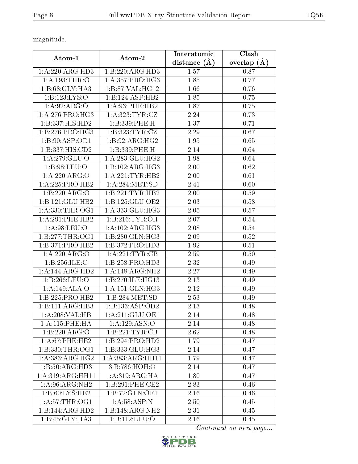magnitude.

|                         |                              | Interatomic    | Clash         |  |
|-------------------------|------------------------------|----------------|---------------|--|
| Atom-1                  | Atom-2                       | distance $(A)$ | overlap $(A)$ |  |
| 1:A:220:ARG:HD3         | 1:B:220:ARG:HD3              | 1.57           | 0.87          |  |
| 1: A: 193: THR: O       | 1:A:357:PRO:HG3              | 1.85           | 0.77          |  |
| 1:B:68:GLY:HA3          | 1:B:87:VAL:HG12              | 1.66           | 0.76          |  |
| 1:B:123:LYS:O           | 1:B:124:ASP:HB2              | 1.85           | 0.75          |  |
| 1: A:92: ARG:O          | 1: A:93:PHE:HB2              | 1.87           | 0.75          |  |
| 1: A:276: PRO:HG3       | 1: A:323: TYR: CZ            | 2.24           | 0.73          |  |
| 1:B:337:HIS:HD2         | 1:B:339:PHE:H                | 1.37           | 0.71          |  |
| 1: B: 276: PRO:HG3      | 1:B:323:TYR:CZ               | 2.29           | 0.67          |  |
| 1: B:90: ASP:OD1        | 1:B:92:ARG:HG2               | 1.95           | 0.65          |  |
| 1:B:337:HIS:CD2         | 1:B:339:PHE:H                | 2.14           | 0.64          |  |
| 1: A:279: GLU:O         | 1: A:283: GLU:HG2            | 1.98           | 0.64          |  |
| $1: B:98: \text{LEU:O}$ | 1:B:102:ARG:HG3              | 2.00           | 0.62          |  |
| 1:A:220:ARG:O           | 1: A:221:TYR:HB2             | 2.00           | 0.61          |  |
| 1:A:225:PRO:HB2         | 1: A:284:MET:SD              | 2.41           | 0.60          |  |
| 1:B:220:ARG:O           | 1:B:221:TYR:HB2              | 2.00           | 0.59          |  |
| 1:B:121:GLU:HB2         | 1:B:125:GLU:OE2              | 2.03           | 0.58          |  |
| 1: A: 330: THR: OG1     | 1:A:333:GLU:HG3              | 2.05           | 0.57          |  |
| 1:A:291:PHE:HB2         | 1:B:216:TYR:OH               | 2.07           | 0.54          |  |
| 1: A:98: LEU:O          | $1:A:102:ARG:H\overline{G3}$ | 2.08           | 0.54          |  |
| 1:B:277:THR:OG1         | 1:B:280:GLN:HG3              | 2.09           | 0.52          |  |
| 1:B:371:PRO:HB2         | 1:B:372:PRO:HD3              | 1.92           | 0.51          |  |
| 1:A:220:ARG:O           | 1:A:221:TYR:CB               | 2.59           | 0.50          |  |
| 1:B:256:ILE:C           | 1:B:258:PRO:HD3              | 2.32           | 0.49          |  |
| 1: A:144: ARG:HD2       | 1:A:148:ARG:NH2              | 2.27           | 0.49          |  |
| 1:B:266:LEU:O           | 1:B:270:ILE:HG13             | 2.13           | 0.49          |  |
| 1:A:149:ALA:O           | 1: A:151: GLN: HG3           | 2.12           | 0.49          |  |
| 1:B:225:PRO:HB2         | 1:B:284:MET:SD               | 2.53           | 0.49          |  |
| 1:B:111:ARG:HB3         | 1:B:133:ASP:OD2              | 2.13           | 0.48          |  |
| 1:A:208:VAL:HB          | 1: A:211: GLU:OE1            | 2.14           | 0.48          |  |
| 1:A:115:PHE:HA          | 1:A:129:ASN:O                | 2.14           | 0.48          |  |
| 1:B:220:ARG:O           | 1:B:221:TYR:CB               | 2.62           | 0.48          |  |
| 1: A:67:PHE:HE2         | $1:B:294:P\overline{RO:HD2}$ | 1.79           | 0.47          |  |
| 1:B:330:THR:OG1         | 1:B:333:GLU:HG3              | 2.14           | 0.47          |  |
| 1: A: 383: ARG: HG2     | 1: A: 383: ARG: HH11         | 1.79           | 0.47          |  |
| 1:B:50:ARG:HD3          | 3:B:786:HOH:O                | 2.14           | 0.47          |  |
| 1:A:319:ARG:HH11        | 1:A:319:ARG:HA               | 1.80           | 0.47          |  |
| 1:A:96:ARG:NH2          | 1:B:291:PHE:CE2              | 2.83           | 0.46          |  |
| 1:B:60:LYS:HE2          | 1:B:72:GLN:OE1               | 2.16           | 0.46          |  |
| 1: A:57:THR:OG1         | 1: A:58: ASP: N              | 2.50           | 0.45          |  |
| 1:B:144:ARG:HD2         | 1:B:148:ARG:NH2              | 2.31           | 0.45          |  |
| 1:B:45:GLY:HA3          | 1:B:112:LEU:O                | 2.16           | 0.45          |  |

Continued on next page...

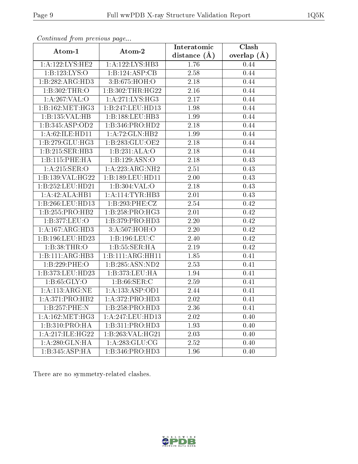| contentava promono ao pago  |                                       | Interatomic       | Clash             |
|-----------------------------|---------------------------------------|-------------------|-------------------|
| Atom-1                      | Atom-2                                | distance $(A)$    | overlap $(A)$     |
| 1:A:122:LYS:HE2             | 1:A:122:LYS:HB3                       | 1.76              | 0.44              |
| 1:B:123:LYS:O               | 1:B:124:ASP:CB                        | 2.58              | 0.44              |
| 1:B:282:ARG:HD3             | 3:B:675:HOH:O                         | 2.18              | 0.44              |
| 1:B:302:THR:O               | 1:B:302:THR:HG22                      | 2.16              | 0.44              |
| 1:A:267:VAL:O               | 1: A:271: LYS: HG3                    | 2.17              | 0.44              |
| 1:B:162:MET:HG3             | 1:B:247:LEU:HD13                      | 1.98              | 0.44              |
| 1:B:135:VAL:HB              | $1:B:188:\overline{\textrm{LEU:HB3}}$ | 1.99              | 0.44              |
| 1:B:345:ASP:OD2             | 1:B:346:PRO:HD2                       | 2.18              | 0.44              |
| 1:A:62:ILE:HD11             | 1:A:72:GLN:HB2                        | 1.99              | 0.44              |
| 1: B: 279: GLU: HG3         | 1:B:283:GLU:OE2                       | 2.18              | 0.44              |
| 1:B:215:SER:HB3             | 1:B:231:ALA:O                         | 2.18              | 0.44              |
| 1:B:115:PHE:HA              | 1:B:129:ASN:O                         | $\overline{2.18}$ | 0.43              |
| 1: A:215: SER:O             | 1:A:223:ARG:NH2                       | 2.51              | 0.43              |
| 1:B:139:VAL:HG22            | 1:B:189:LEU:HD11                      | 2.00              | 0.43              |
| 1:B:252:LEU:HD21            | 1:B:304:VAL:O                         | 2.18              | 0.43              |
| 1:A:42:ALA:HB1              | 1: A:114:TYR:HB3                      | 2.01              | 0.43              |
| 1:B:266:LEU:HD13            | 1:B:293:PHE:CZ                        | 2.54              | 0.42              |
| 1:B:255:PRO:HB2             | 1:B:258:PRO:HG3                       | 2.01              | 0.42              |
| 1:B:377:LEU:O               | 1:B:379:PRO:HD3                       | 2.20              | 0.42              |
| 1: A: 167: ARG: HD3         | 3:A:507:HOH:O                         | 2.20              | 0.42              |
| 1:B:196:LEU:HD23            | 1:B:196:LEU:C                         | 2.40              | 0.42              |
| 1:B:38:THR:O                | 1:B:55:SER:HA                         | 2.19              | 0.42              |
| 1:B:111:ARG:HB3             | 1:B:111:ARG:HH11                      | 1.85              | 0.41              |
| 1:B:229:PHE:O               | 1:B:285:ASN:ND2                       | 2.53              | $0.\overline{41}$ |
| 1:B:373:LEU:HD23            | 1:B:373:LEU:HA                        | 1.94              | 0.41              |
| 1:B:65:GLY:O                | 1: B:66: SER: C                       | 2.59              | 0.41              |
| 1: A:113:ARG:NE             | 1: A: 133: ASP: OD1                   | 2.44              | 0.41              |
| 1:A:371:PRO:HB2             | 1:A:372:PRO:HD3                       | 2.02              | 0.41              |
| 1:B:257:PHE:N               | 1:B:258:PRO:HD3                       | 2.36              | 0.41              |
| 1: A: 162:MET:HG3           | 1:A:247:LEU:HD13                      | $2.02\,$          | 0.40              |
| $1:B:310:PRO:\overline{HA}$ | 1:B:311:PRO:HD3                       | 1.93              | 0.40              |
| 1:A:217:ILE:HG22            | 1:B:263:VAL:HG21                      | 2.03              | 0.40              |
| 1:A:280:GLN:HA              | 1: A: 283: GLU: CG                    | 2.52              | 0.40              |
| 1:B:345:ASP:HA              | 1:B:346:PRO:HD3                       | 1.96              | 0.40              |

Continued from previous page.

There are no symmetry-related clashes.

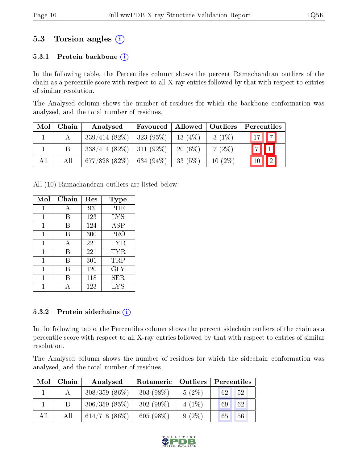### 5.3 Torsion angles  $(i)$

#### 5.3.1 Protein backbone  $(i)$

In the following table, the Percentiles column shows the percent Ramachandran outliers of the chain as a percentile score with respect to all X-ray entries followed by that with respect to entries of similar resolution.

The Analysed column shows the number of residues for which the backbone conformation was analysed, and the total number of residues.

| Mol | Chain | Analysed                      | Favoured       | Allowed   | Outliers  | Percentiles       |
|-----|-------|-------------------------------|----------------|-----------|-----------|-------------------|
|     |       | $339/414$ (82\%)   323 (95\%) |                | 13 $(4%)$ | $3(1\%)$  | $\sqrt{17}$   $7$ |
|     |       | $338/414$ (82\%)   311 (92\%) |                | $20(6\%)$ | $7(2\%)$  | 7                 |
| All | Аll   | 677/828 (82\%)                | $  634 (94\%)$ | $33(5\%)$ | $10(2\%)$ | $\boxed{2}$<br>10 |

All (10) Ramachandran outliers are listed below:

| Mol | Chain | Res | Type       |
|-----|-------|-----|------------|
| 1   | А     | 93  | PHE        |
| 1   | В     | 123 | <b>LYS</b> |
| 1   | В     | 124 | <b>ASP</b> |
| 1   | В     | 300 | PRO        |
| 1   | A     | 221 | TYR        |
| 1   | В     | 221 | TYR        |
| 1   | В     | 301 | TRP        |
| 1   | В     | 120 | GLY        |
| 1   | В     | 118 | SER        |
|     |       | 123 | LYS        |

#### 5.3.2 Protein sidechains  $(i)$

In the following table, the Percentiles column shows the percent sidechain outliers of the chain as a percentile score with respect to all X-ray entries followed by that with respect to entries of similar resolution.

The Analysed column shows the number of residues for which the sidechain conformation was analysed, and the total number of residues.

| Mol | Chain | Analysed        | Rotameric   Outliers |          | Percentiles |
|-----|-------|-----------------|----------------------|----------|-------------|
|     |       | $308/359(86\%)$ | $303(98\%)$          | $5(2\%)$ | 52<br>62    |
|     | Β     | 306/359(85%)    | $302(99\%)$          | $4(1\%)$ | 62<br>69    |
| All | All   | $614/718$ (86%) | 605 $(98\%)$         | $9(2\%)$ | 56<br>65    |

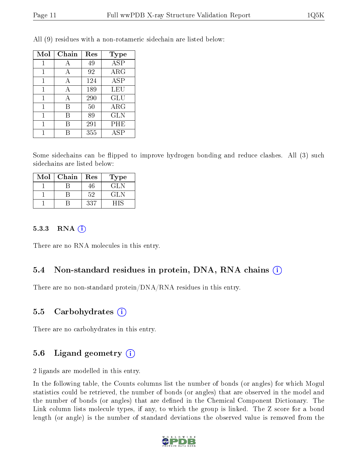| Mol | Chain | Res | <b>Type</b>             |
|-----|-------|-----|-------------------------|
| 1   | А     | 49  | $\overline{\text{ASP}}$ |
|     | А     | 92  | $\rm{ARG}$              |
|     | А     | 124 | ASP                     |
| 1   | А     | 189 | LEU                     |
| 1   | А     | 290 | GLU                     |
| 1   | В     | 50  | $\rm{ARG}$              |
|     | B     | 89  | <b>GLN</b>              |
| 1   | В     | 291 | PHE                     |
|     |       | 355 | <b>ASP</b>              |

All (9) residues with a non-rotameric sidechain are listed below:

Some sidechains can be flipped to improve hydrogen bonding and reduce clashes. All (3) such sidechains are listed below:

| Mol | Chain | Res | Type |
|-----|-------|-----|------|
|     |       | 46. | GL N |
|     |       | 52  | GLN  |
|     |       | 337 |      |

#### 5.3.3 RNA [O](https://www.wwpdb.org/validation/2017/XrayValidationReportHelp#rna)i

There are no RNA molecules in this entry.

### 5.4 Non-standard residues in protein, DNA, RNA chains (i)

There are no non-standard protein/DNA/RNA residues in this entry.

#### 5.5 Carbohydrates (i)

There are no carbohydrates in this entry.

### 5.6 Ligand geometry  $(i)$

2 ligands are modelled in this entry.

In the following table, the Counts columns list the number of bonds (or angles) for which Mogul statistics could be retrieved, the number of bonds (or angles) that are observed in the model and the number of bonds (or angles) that are defined in the Chemical Component Dictionary. The Link column lists molecule types, if any, to which the group is linked. The Z score for a bond length (or angle) is the number of standard deviations the observed value is removed from the

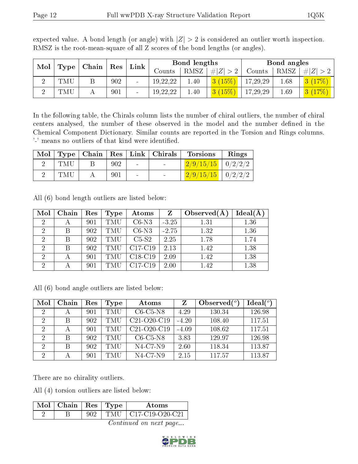| Mol |     | $\mid$ Type $\mid$ Chain $\mid$ Res $\mid$ | $\mathop{\rm Link}\nolimits$ |                |          | Bond lengths |             |          | Bond angles |     |
|-----|-----|--------------------------------------------|------------------------------|----------------|----------|--------------|-------------|----------|-------------|-----|
|     |     |                                            |                              |                | Counts   | RMSZ         | # $ Z  > 2$ | Counts   | RMSZ        | # Z |
| ച   | TMU |                                            | 902                          | $\blacksquare$ | 19,22,22 | 0.40         | 3(15%)      | 17,29,29 | 1.68        |     |
| ച   | TMU |                                            | 901                          |                | 19,22,22 | 0.40         | $(15\%)$    | 17,29,29 | 1.69        |     |

expected value. A bond length (or angle) with  $|Z| > 2$  is considered an outlier worth inspection. RMSZ is the root-mean-square of all Z scores of the bond lengths (or angles).

In the following table, the Chirals column lists the number of chiral outliers, the number of chiral centers analysed, the number of these observed in the model and the number defined in the Chemical Component Dictionary. Similar counts are reported in the Torsion and Rings columns. '-' means no outliers of that kind were identified.

| Mol |     |     |        | Type   Chain   Res   Link   Christ | <b>Torsions</b>         | Rings |
|-----|-----|-----|--------|------------------------------------|-------------------------|-------|
|     | TMU | 902 | $\sim$ | <b>Section</b>                     | $2/9/15/15$   $0/2/2/2$ |       |
|     | TMU | 901 | $\sim$ |                                    | $2/9/15/15$   $0/2/2/2$ |       |

All (6) bond length outliers are listed below:

| Mol                         | Chain | Res | Type       | Atoms                            | Z       | Observed $(A)$ | Ideal(A) |
|-----------------------------|-------|-----|------------|----------------------------------|---------|----------------|----------|
| $\mathcal{D}$               |       | 901 | TMU        | $C6-N3$                          | $-3.25$ | 1.31           | 1.36     |
| $\overline{2}$              | B     | 902 | <b>TMU</b> | $C6-N3$                          | $-2.75$ | 1.32           | 1.36     |
| $\overline{2}$              | В     | 902 | <b>TMU</b> | $C5-S2$                          | 2.25    | 1.78           | 1.74     |
| $\overline{2}$              | B     | 902 | TMU        | C <sub>17</sub> -C <sub>19</sub> | 2.13    | 1.42           | 1.38     |
| $\mathcal{D}$               |       | 901 | TMU        | $C18-C19$                        | 2.09    | 1.42           | 1.38     |
| $\mathcal{D}_{\mathcal{A}}$ |       | 901 | TMU        | $C17-C19$                        | 2.00    | 1.42           | 1.38     |

All (6) bond angle outliers are listed below:

| Mol            | Chain | Res | Type       | Atoms          | Z       | Observed $(°)$ | Ideal(°) |
|----------------|-------|-----|------------|----------------|---------|----------------|----------|
| 2              |       | 901 | TMU        | $C6-C5-N8$     | 4.29    | 130.34         | 126.98   |
| $\overline{2}$ | В     | 902 | <b>TMU</b> | $C21-O20-C19$  | $-4.20$ | 108.40         | 117.51   |
| $\overline{2}$ |       | 901 | TMU        | $C21-O20-C19$  | $-4.09$ | 108.62         | 117.51   |
| 2              | B     | 902 | TMU        | $C6-C5-N8$     | 3.83    | 129.97         | 126.98   |
| 2              | В     | 902 | TMU        | $N4$ -C7- $N9$ | 2.60    | 118.34         | 113.87   |
| 2              |       | 901 | TMU        | $N4$ -C7- $N9$ | 2.15    | 117.57         | 113.87   |

There are no chirality outliers.

All (4) torsion outliers are listed below:

| $\text{Mol}$   Chain   Res   Type |        | Atoms                                                                 |
|-----------------------------------|--------|-----------------------------------------------------------------------|
|                                   | 'TMU - | $\left\lfloor \frac{\text{C17-C19-O20-C21}}{\text{C1}} \right\rfloor$ |

Continued on next page...

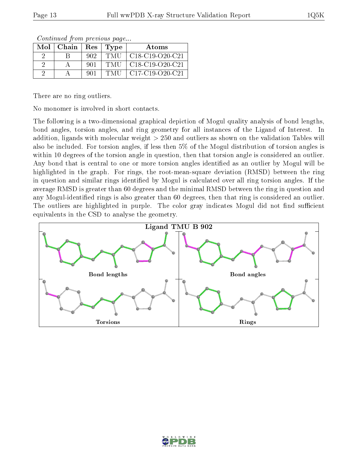|          | $Mol$   Chain   Res |     | Type | Atoms                                                                     |
|----------|---------------------|-----|------|---------------------------------------------------------------------------|
| $\Omega$ |                     | 902 | TMU  | $\vert$ C18-C19-O20-C21                                                   |
| $\Omega$ |                     | 901 | TMU  | $\mid$ C <sub>18</sub> -C <sub>19</sub> -O <sub>20</sub> -C <sub>21</sub> |
|          |                     | 901 | TMU  | $\mid$ C17-C19-O20-C21                                                    |

Continued from previous page...

There are no ring outliers.

No monomer is involved in short contacts.

The following is a two-dimensional graphical depiction of Mogul quality analysis of bond lengths, bond angles, torsion angles, and ring geometry for all instances of the Ligand of Interest. In addition, ligands with molecular weight > 250 and outliers as shown on the validation Tables will also be included. For torsion angles, if less then 5% of the Mogul distribution of torsion angles is within 10 degrees of the torsion angle in question, then that torsion angle is considered an outlier. Any bond that is central to one or more torsion angles identified as an outlier by Mogul will be highlighted in the graph. For rings, the root-mean-square deviation (RMSD) between the ring in question and similar rings identified by Mogul is calculated over all ring torsion angles. If the average RMSD is greater than 60 degrees and the minimal RMSD between the ring in question and any Mogul-identified rings is also greater than 60 degrees, then that ring is considered an outlier. The outliers are highlighted in purple. The color gray indicates Mogul did not find sufficient equivalents in the CSD to analyse the geometry.



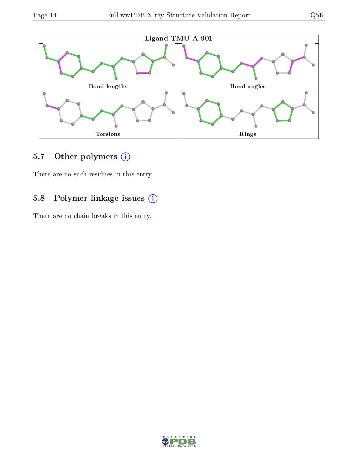

## 5.7 [O](https://www.wwpdb.org/validation/2017/XrayValidationReportHelp#nonstandard_residues_and_ligands)ther polymers (i)

There are no such residues in this entry.

## 5.8 Polymer linkage issues (i)

There are no chain breaks in this entry.